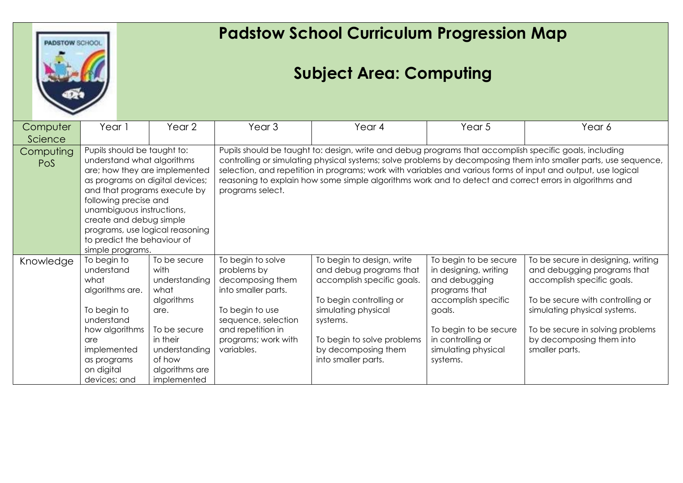

## **Padstow School Curriculum Progression Map**

## **Subject Area: Computing**

| Computer                | Year 1                                                                                                                                                                                                                                                                                                                               | Year 2                                                                                                                                                      | Year <sub>3</sub>                                                                                                                                                                                                                                                                                                                                                                                                                                                          | Year 4                                                                                                                                                                                                                       | Year 5                                                                                                                                                                                             | Year 6                                                                                                                                                                                                                                                |  |
|-------------------------|--------------------------------------------------------------------------------------------------------------------------------------------------------------------------------------------------------------------------------------------------------------------------------------------------------------------------------------|-------------------------------------------------------------------------------------------------------------------------------------------------------------|----------------------------------------------------------------------------------------------------------------------------------------------------------------------------------------------------------------------------------------------------------------------------------------------------------------------------------------------------------------------------------------------------------------------------------------------------------------------------|------------------------------------------------------------------------------------------------------------------------------------------------------------------------------------------------------------------------------|----------------------------------------------------------------------------------------------------------------------------------------------------------------------------------------------------|-------------------------------------------------------------------------------------------------------------------------------------------------------------------------------------------------------------------------------------------------------|--|
| Science                 |                                                                                                                                                                                                                                                                                                                                      |                                                                                                                                                             |                                                                                                                                                                                                                                                                                                                                                                                                                                                                            |                                                                                                                                                                                                                              |                                                                                                                                                                                                    |                                                                                                                                                                                                                                                       |  |
| Computing<br><b>PoS</b> | Pupils should be taught to:<br>understand what algorithms<br>are; how they are implemented<br>as programs on digital devices;<br>and that programs execute by<br>following precise and<br>unambiguous instructions,<br>create and debug simple<br>programs, use logical reasoning<br>to predict the behaviour of<br>simple programs. |                                                                                                                                                             | Pupils should be taught to: design, write and debug programs that accomplish specific goals, including<br>controlling or simulating physical systems; solve problems by decomposing them into smaller parts, use sequence,<br>selection, and repetition in programs; work with variables and various forms of input and output, use logical<br>reasoning to explain how some simple algorithms work and to detect and correct errors in algorithms and<br>programs select. |                                                                                                                                                                                                                              |                                                                                                                                                                                                    |                                                                                                                                                                                                                                                       |  |
| Knowledge               | To begin to<br>understand<br>what<br>algorithms are.<br>To begin to<br>understand<br>how algorithms<br>are<br>implemented<br>as programs<br>on digital<br>devices; and                                                                                                                                                               | To be secure<br>with<br>understanding<br>what<br>algorithms<br>are.<br>To be secure<br>in their<br>understanding<br>of how<br>algorithms are<br>implemented | To begin to solve<br>problems by<br>decomposing them<br>into smaller parts.<br>To begin to use<br>sequence, selection<br>and repetition in<br>programs; work with<br>variables.                                                                                                                                                                                                                                                                                            | To begin to design, write<br>and debug programs that<br>accomplish specific goals.<br>To begin controlling or<br>simulating physical<br>systems.<br>To begin to solve problems<br>by decomposing them<br>into smaller parts. | To begin to be secure<br>in designing, writing<br>and debugging<br>programs that<br>accomplish specific<br>goals.<br>To begin to be secure<br>in controlling or<br>simulating physical<br>systems. | To be secure in designing, writing<br>and debugging programs that<br>accomplish specific goals.<br>To be secure with controlling or<br>simulating physical systems.<br>To be secure in solving problems<br>by decomposing them into<br>smaller parts. |  |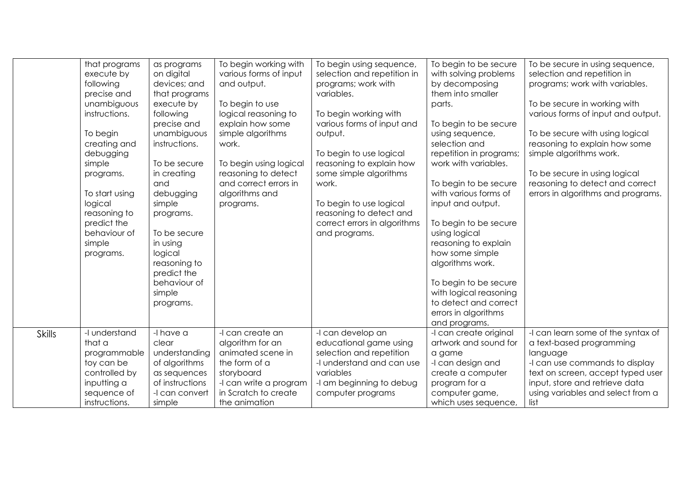|               | that programs<br>execute by<br>following<br>precise and<br>unambiguous<br>instructions.<br>To begin<br>creating and<br>debugging<br>simple<br>programs.<br>To start using<br>logical<br>reasoning to<br>predict the<br>behaviour of<br>simple<br>programs. | as programs<br>on digital<br>devices; and<br>that programs<br>execute by<br>following<br>precise and<br>unambiguous<br>instructions.<br>To be secure<br>in creating<br>and<br>debugging<br>simple<br>programs.<br>To be secure<br>in using<br>logical<br>reasoning to<br>predict the<br>behaviour of<br>simple<br>programs. | To begin working with<br>various forms of input<br>and output.<br>To begin to use<br>logical reasoning to<br>explain how some<br>simple algorithms<br>work.<br>To begin using logical<br>reasoning to detect<br>and correct errors in<br>algorithms and<br>programs. | To begin using sequence,<br>selection and repetition in<br>programs; work with<br>variables.<br>To begin working with<br>various forms of input and<br>output.<br>To begin to use logical<br>reasoning to explain how<br>some simple algorithms<br>work.<br>To begin to use logical<br>reasoning to detect and<br>correct errors in algorithms<br>and programs. | To begin to be secure<br>with solving problems<br>by decomposing<br>them into smaller<br>parts.<br>To begin to be secure<br>using sequence,<br>selection and<br>repetition in programs;<br>work with variables.<br>To begin to be secure<br>with various forms of<br>input and output.<br>To begin to be secure<br>using logical<br>reasoning to explain<br>how some simple<br>algorithms work.<br>To begin to be secure<br>with logical reasoning<br>to detect and correct<br>errors in algorithms<br>and programs. | To be secure in using sequence,<br>selection and repetition in<br>programs; work with variables.<br>To be secure in working with<br>various forms of input and output.<br>To be secure with using logical<br>reasoning to explain how some<br>simple algorithms work.<br>To be secure in using logical<br>reasoning to detect and correct<br>errors in algorithms and programs. |
|---------------|------------------------------------------------------------------------------------------------------------------------------------------------------------------------------------------------------------------------------------------------------------|-----------------------------------------------------------------------------------------------------------------------------------------------------------------------------------------------------------------------------------------------------------------------------------------------------------------------------|----------------------------------------------------------------------------------------------------------------------------------------------------------------------------------------------------------------------------------------------------------------------|-----------------------------------------------------------------------------------------------------------------------------------------------------------------------------------------------------------------------------------------------------------------------------------------------------------------------------------------------------------------|----------------------------------------------------------------------------------------------------------------------------------------------------------------------------------------------------------------------------------------------------------------------------------------------------------------------------------------------------------------------------------------------------------------------------------------------------------------------------------------------------------------------|---------------------------------------------------------------------------------------------------------------------------------------------------------------------------------------------------------------------------------------------------------------------------------------------------------------------------------------------------------------------------------|
| <b>Skills</b> | -I understand<br>that a<br>programmable<br>toy can be<br>controlled by                                                                                                                                                                                     | -I have a<br>clear<br>understanding<br>of algorithms<br>as sequences                                                                                                                                                                                                                                                        | -I can create an<br>algorithm for an<br>animated scene in<br>the form of a<br>storyboard                                                                                                                                                                             | -I can develop an<br>educational game using<br>selection and repetition<br>-I understand and can use<br>variables                                                                                                                                                                                                                                               | -I can create original<br>artwork and sound for<br>a game<br>-I can design and<br>create a computer                                                                                                                                                                                                                                                                                                                                                                                                                  | -I can learn some of the syntax of<br>a text-based programming<br>language<br>-I can use commands to display<br>text on screen, accept typed user                                                                                                                                                                                                                               |
|               | inputting a<br>sequence of<br>instructions.                                                                                                                                                                                                                | of instructions<br>-I can convert<br>simple                                                                                                                                                                                                                                                                                 | -I can write a program<br>in Scratch to create<br>the animation                                                                                                                                                                                                      | -I am beginning to debug<br>computer programs                                                                                                                                                                                                                                                                                                                   | program for a<br>computer game,<br>which uses sequence,                                                                                                                                                                                                                                                                                                                                                                                                                                                              | input, store and retrieve data<br>using variables and select from a<br>list                                                                                                                                                                                                                                                                                                     |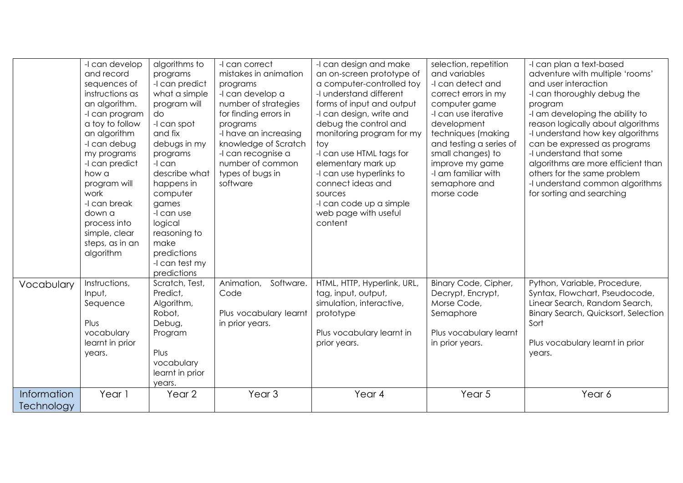|             | -I can develop  | algorithms to   | -I can correct          | -I can design and make      | selection, repetition   | -I can plan a text-based                   |
|-------------|-----------------|-----------------|-------------------------|-----------------------------|-------------------------|--------------------------------------------|
|             | and record      | programs        | mistakes in animation   | an on-screen prototype of   | and variables           | adventure with multiple 'rooms'            |
|             | sequences of    | -I can predict  | programs                | a computer-controlled toy   | -I can detect and       | and user interaction                       |
|             | instructions as | what a simple   | -I can develop a        | -I understand different     | correct errors in my    | -I can thoroughly debug the                |
|             | an algorithm.   | program will    | number of strategies    | forms of input and output   | computer game           | program                                    |
|             | -I can program  | do              | for finding errors in   | -I can design, write and    | -I can use iterative    | -I am developing the ability to            |
|             | a toy to follow | -I can spot     | programs                | debug the control and       | development             | reason logically about algorithms          |
|             | an algorithm    | and fix         | -I have an increasing   | monitoring program for my   | techniques (making      | -I understand how key algorithms           |
|             | -I can debug    | debugs in my    | knowledge of Scratch    | toy                         | and testing a series of | can be expressed as programs               |
|             | my programs     | programs        | -I can recognise a      | -I can use HTML tags for    | small changes) to       | -I understand that some                    |
|             | -I can predict  | -I can          | number of common        | elementary mark up          | improve my game         | algorithms are more efficient than         |
|             | how a           | describe what   | types of bugs in        | -I can use hyperlinks to    | -I am familiar with     | others for the same problem                |
|             | program will    | happens in      | software                | connect ideas and           | semaphore and           | -I understand common algorithms            |
|             | work            | computer        |                         | sources                     | morse code              | for sorting and searching                  |
|             | -I can break    | games           |                         | -I can code up a simple     |                         |                                            |
|             | down a          | -I can use      |                         | web page with useful        |                         |                                            |
|             | process into    | logical         |                         | content                     |                         |                                            |
|             | simple, clear   | reasoning to    |                         |                             |                         |                                            |
|             | steps, as in an | make            |                         |                             |                         |                                            |
|             | algorithm       | predictions     |                         |                             |                         |                                            |
|             |                 | -I can test my  |                         |                             |                         |                                            |
|             |                 | predictions     |                         |                             |                         |                                            |
| Vocabulary  | Instructions,   | Scratch, Test,  | Animation,<br>Software. | HTML, HTTP, Hyperlink, URL, | Binary Code, Cipher,    | Python, Variable, Procedure,               |
|             | Input,          | Predict,        | Code                    | tag, input, output,         | Decrypt, Encrypt,       | Syntax, Flowchart, Pseudocode,             |
|             | Sequence        | Algorithm,      |                         | simulation, interactive,    | Morse Code,             | Linear Search, Random Search,              |
|             |                 | Robot,          | Plus vocabulary learnt  | prototype                   | Semaphore               | <b>Binary Search, Quicksort, Selection</b> |
|             | Plus            | Debug,          | in prior years.         |                             |                         | Sort                                       |
|             | vocabulary      | Program         |                         | Plus vocabulary learnt in   | Plus vocabulary learnt  |                                            |
|             | learnt in prior |                 |                         | prior years.                | in prior years.         | Plus vocabulary learnt in prior            |
|             | years.          | Plus            |                         |                             |                         | years.                                     |
|             |                 | vocabulary      |                         |                             |                         |                                            |
|             |                 | learnt in prior |                         |                             |                         |                                            |
|             |                 | years.          |                         |                             |                         |                                            |
| Information | Year 1          | Year 2          | Year <sub>3</sub>       | Year 4                      | Year 5                  | Year 6                                     |
| Technology  |                 |                 |                         |                             |                         |                                            |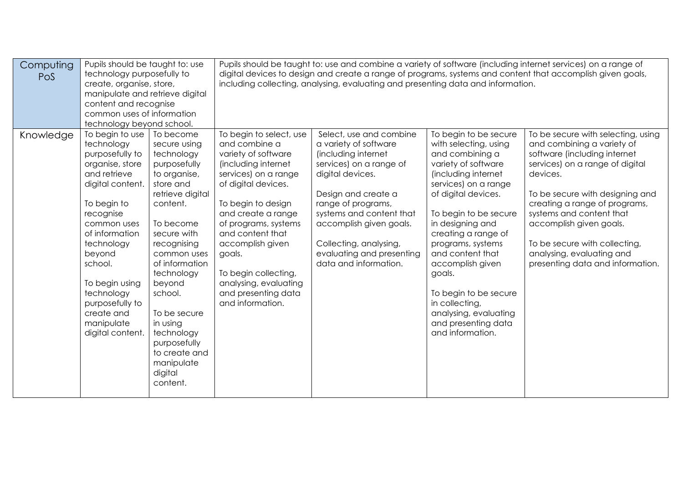| Computing<br>Pos | Pupils should be taught to: use<br>technology purposefully to<br>create, organise, store,<br>manipulate and retrieve digital<br>content and recognise<br>common uses of information<br>technology beyond school.                                                                                           |                                                                                                                                                                                                                                                                                                                                                     |                                                                                                                                                                                                                                                                                                                                                         | including collecting, analysing, evaluating and presenting data and information.                                                                                                                                                                                                                           |                                                                                                                                                                                                                                                                                                                                                                                                                          | Pupils should be taught to: use and combine a variety of software (including internet services) on a range of<br>digital devices to design and create a range of programs, systems and content that accomplish given goals,                                                                                                                                                  |
|------------------|------------------------------------------------------------------------------------------------------------------------------------------------------------------------------------------------------------------------------------------------------------------------------------------------------------|-----------------------------------------------------------------------------------------------------------------------------------------------------------------------------------------------------------------------------------------------------------------------------------------------------------------------------------------------------|---------------------------------------------------------------------------------------------------------------------------------------------------------------------------------------------------------------------------------------------------------------------------------------------------------------------------------------------------------|------------------------------------------------------------------------------------------------------------------------------------------------------------------------------------------------------------------------------------------------------------------------------------------------------------|--------------------------------------------------------------------------------------------------------------------------------------------------------------------------------------------------------------------------------------------------------------------------------------------------------------------------------------------------------------------------------------------------------------------------|------------------------------------------------------------------------------------------------------------------------------------------------------------------------------------------------------------------------------------------------------------------------------------------------------------------------------------------------------------------------------|
| Knowledge        | To begin to use<br>technology<br>purposefully to<br>organise, store<br>and retrieve<br>digital content.<br>To begin to<br>recognise<br>common uses<br>of information<br>technology<br>beyond<br>school.<br>To begin using<br>technology<br>purposefully to<br>create and<br>manipulate<br>digital content. | To become<br>secure using<br>technology<br>purposefully<br>to organise,<br>store and<br>retrieve digital<br>content.<br>To become<br>secure with<br>recognising<br>common uses<br>of information<br>technology<br>beyond<br>school.<br>To be secure<br>in using<br>technology<br>purposefully<br>to create and<br>manipulate<br>digital<br>content. | To begin to select, use<br>and combine a<br>variety of software<br>(including internet<br>services) on a range<br>of digital devices.<br>To begin to design<br>and create a range<br>of programs, systems<br>and content that<br>accomplish given<br>goals.<br>To begin collecting,<br>analysing, evaluating<br>and presenting data<br>and information. | Select, use and combine<br>a variety of software<br>(including internet<br>services) on a range of<br>digital devices.<br>Design and create a<br>range of programs,<br>systems and content that<br>accomplish given goals.<br>Collecting, analysing,<br>evaluating and presenting<br>data and information. | To begin to be secure<br>with selecting, using<br>and combining a<br>variety of software<br>(including internet<br>services) on a range<br>of digital devices.<br>To begin to be secure<br>in designing and<br>creating a range of<br>programs, systems<br>and content that<br>accomplish given<br>goals.<br>To begin to be secure<br>in collecting,<br>analysing, evaluating<br>and presenting data<br>and information. | To be secure with selecting, using<br>and combining a variety of<br>software (including internet<br>services) on a range of digital<br>devices.<br>To be secure with designing and<br>creating a range of programs,<br>systems and content that<br>accomplish given goals.<br>To be secure with collecting,<br>analysing, evaluating and<br>presenting data and information. |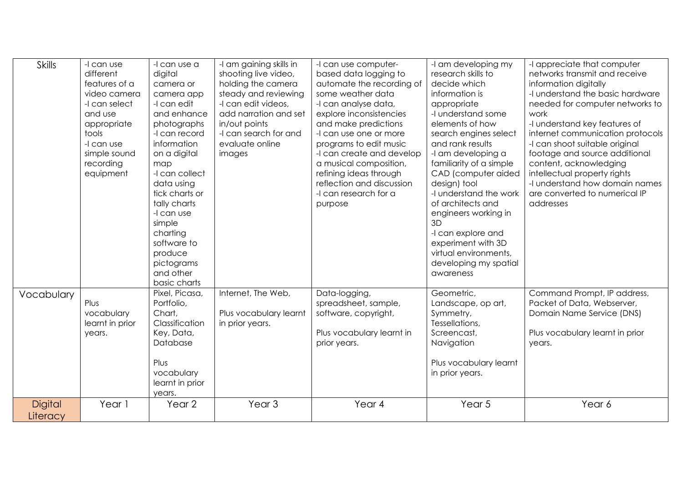| <b>Skills</b>              | -I can use<br>different<br>features of a<br>video camera<br>-I can select<br>and use<br>appropriate<br>tools<br>-I can use<br>simple sound<br>recording<br>equipment | -I can use a<br>digital<br>camera or<br>camera app<br>-I can edit<br>and enhance<br>photographs<br>-I can record<br>information<br>on a digital<br>map<br>-I can collect<br>data using<br>tick charts or<br>tally charts<br>-I can use<br>simple<br>charting<br>software to<br>produce<br>pictograms<br>and other | -I am gaining skills in<br>shooting live video,<br>holding the camera<br>steady and reviewing<br>-I can edit videos,<br>add narration and set<br>in/out points<br>-I can search for and<br>evaluate online<br>images | -I can use computer-<br>based data logging to<br>automate the recording of<br>some weather data<br>-I can analyse data,<br>explore inconsistencies<br>and make predictions<br>-I can use one or more<br>programs to edit music<br>-I can create and develop<br>a musical composition,<br>refining ideas through<br>reflection and discussion<br>-I can research for a<br>purpose | -I am developing my<br>research skills to<br>decide which<br>information is<br>appropriate<br>-I understand some<br>elements of how<br>search engines select<br>and rank results<br>-I am developing a<br>familiarity of a simple<br>CAD (computer aided<br>design) tool<br>-I understand the work<br>of architects and<br>engineers working in<br>3D<br>-I can explore and<br>experiment with 3D<br>virtual environments,<br>developing my spatial<br>awareness | -I appreciate that computer<br>networks transmit and receive<br>information digitally<br>-I understand the basic hardware<br>needed for computer networks to<br>work<br>-I understand key features of<br>internet communication protocols<br>-I can shoot suitable original<br>footage and source additional<br>content, acknowledging<br>intellectual property rights<br>-I understand how domain names<br>are converted to numerical IP<br>addresses |
|----------------------------|----------------------------------------------------------------------------------------------------------------------------------------------------------------------|-------------------------------------------------------------------------------------------------------------------------------------------------------------------------------------------------------------------------------------------------------------------------------------------------------------------|----------------------------------------------------------------------------------------------------------------------------------------------------------------------------------------------------------------------|----------------------------------------------------------------------------------------------------------------------------------------------------------------------------------------------------------------------------------------------------------------------------------------------------------------------------------------------------------------------------------|------------------------------------------------------------------------------------------------------------------------------------------------------------------------------------------------------------------------------------------------------------------------------------------------------------------------------------------------------------------------------------------------------------------------------------------------------------------|--------------------------------------------------------------------------------------------------------------------------------------------------------------------------------------------------------------------------------------------------------------------------------------------------------------------------------------------------------------------------------------------------------------------------------------------------------|
| Vocabulary                 | Plus<br>vocabulary<br>learnt in prior<br>years.                                                                                                                      | basic charts<br>Pixel, Picasa,<br>Portfolio,<br>Chart,<br>Classification<br>Key, Data,<br>Database<br>Plus<br>vocabulary<br>learnt in prior<br>years.                                                                                                                                                             | Internet, The Web,<br>Plus vocabulary learnt<br>in prior years.                                                                                                                                                      | Data-logging,<br>spreadsheet, sample,<br>software, copyright,<br>Plus vocabulary learnt in<br>prior years.                                                                                                                                                                                                                                                                       | Geometric,<br>Landscape, op art,<br>Symmetry,<br>Tessellations,<br>Screencast,<br>Navigation<br>Plus vocabulary learnt<br>in prior years.                                                                                                                                                                                                                                                                                                                        | Command Prompt, IP address,<br>Packet of Data, Webserver,<br>Domain Name Service (DNS)<br>Plus vocabulary learnt in prior<br>years.                                                                                                                                                                                                                                                                                                                    |
| <b>Digital</b><br>Literacy | Year 1                                                                                                                                                               | Year <sub>2</sub>                                                                                                                                                                                                                                                                                                 | Year <sub>3</sub>                                                                                                                                                                                                    | Year 4                                                                                                                                                                                                                                                                                                                                                                           | Year 5                                                                                                                                                                                                                                                                                                                                                                                                                                                           | Year 6                                                                                                                                                                                                                                                                                                                                                                                                                                                 |

L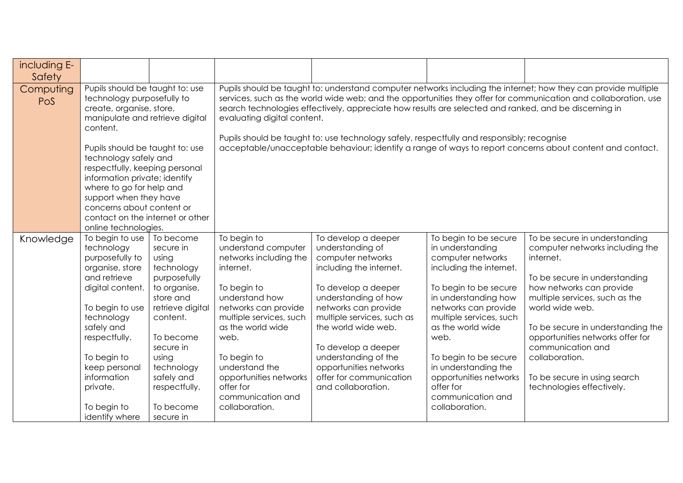| including E-<br>Safety |                                                                                                                                                                                                                                                                                                                                                                                                                        |                                                                                                                                                                                                                                      |                                                                                                                                                                                                                                                                                                                                                                                                                                                                                                                                                                                      |                                                                                                                                                                                                                                                                                                                                               |                                                                                                                                                                                                                                                                                                                                                           |                                                                                                                                                                                                                                                                                                                                                                              |  |
|------------------------|------------------------------------------------------------------------------------------------------------------------------------------------------------------------------------------------------------------------------------------------------------------------------------------------------------------------------------------------------------------------------------------------------------------------|--------------------------------------------------------------------------------------------------------------------------------------------------------------------------------------------------------------------------------------|--------------------------------------------------------------------------------------------------------------------------------------------------------------------------------------------------------------------------------------------------------------------------------------------------------------------------------------------------------------------------------------------------------------------------------------------------------------------------------------------------------------------------------------------------------------------------------------|-----------------------------------------------------------------------------------------------------------------------------------------------------------------------------------------------------------------------------------------------------------------------------------------------------------------------------------------------|-----------------------------------------------------------------------------------------------------------------------------------------------------------------------------------------------------------------------------------------------------------------------------------------------------------------------------------------------------------|------------------------------------------------------------------------------------------------------------------------------------------------------------------------------------------------------------------------------------------------------------------------------------------------------------------------------------------------------------------------------|--|
| Computing<br>PoS       | Pupils should be taught to: use<br>technology purposefully to<br>create, organise, store,<br>manipulate and retrieve digital<br>content.<br>Pupils should be taught to: use<br>technology safely and<br>respectfully, keeping personal<br>information private; identify<br>where to go for help and<br>support when they have<br>concerns about content or<br>contact on the internet or other<br>online technologies. |                                                                                                                                                                                                                                      | Pupils should be taught to: understand computer networks including the internet; how they can provide multiple<br>services, such as the world wide web; and the opportunities they offer for communication and collaboration, use<br>search technologies effectively, appreciate how results are selected and ranked, and be discerning in<br>evaluating digital content.<br>Pupils should be taught to: use technology safely, respectfully and responsibly; recognise<br>acceptable/unacceptable behaviour; identify a range of ways to report concerns about content and contact. |                                                                                                                                                                                                                                                                                                                                               |                                                                                                                                                                                                                                                                                                                                                           |                                                                                                                                                                                                                                                                                                                                                                              |  |
| Knowledge              | To begin to use<br>technology<br>purposefully to<br>organise, store<br>and retrieve<br>digital content.<br>To begin to use<br>technology<br>safely and<br>respectfully.<br>To begin to<br>keep personal<br>information<br>private.<br>To begin to<br>identify where                                                                                                                                                    | To become<br>secure in<br>using<br>technology<br>purposefully<br>to organise,<br>store and<br>retrieve digital<br>content.<br>To become<br>secure in<br>using<br>technology<br>safely and<br>respectfully.<br>To become<br>secure in | To begin to<br>understand computer<br>networks including the<br>internet.<br>To begin to<br>understand how<br>networks can provide<br>multiple services, such<br>as the world wide<br>web.<br>To begin to<br>understand the<br>opportunities networks<br>offer for<br>communication and<br>collaboration.                                                                                                                                                                                                                                                                            | To develop a deeper<br>understanding of<br>computer networks<br>including the internet.<br>To develop a deeper<br>understanding of how<br>networks can provide<br>multiple services, such as<br>the world wide web.<br>To develop a deeper<br>understanding of the<br>opportunities networks<br>offer for communication<br>and collaboration. | To begin to be secure<br>in understanding<br>computer networks<br>including the internet.<br>To begin to be secure<br>in understanding how<br>networks can provide<br>multiple services, such<br>as the world wide<br>web.<br>To begin to be secure<br>in understanding the<br>opportunities networks<br>offer for<br>communication and<br>collaboration. | To be secure in understanding<br>computer networks including the<br>internet.<br>To be secure in understanding<br>how networks can provide<br>multiple services, such as the<br>world wide web.<br>To be secure in understanding the<br>opportunities networks offer for<br>communication and<br>collaboration.<br>To be secure in using search<br>technologies effectively. |  |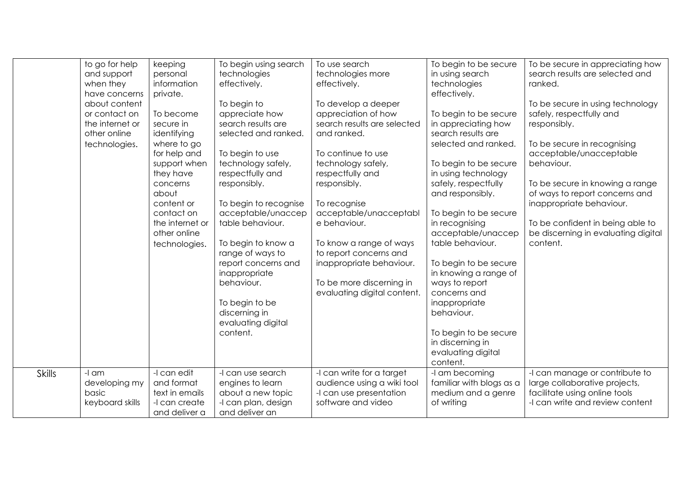|               | to go for help<br>and support<br>when they<br>have concerns<br>about content<br>or contact on<br>the internet or<br>other online<br>technologies. | keeping<br>personal<br>information<br>private.<br>To become<br>secure in<br>identifying<br>where to go<br>for help and<br>support when<br>they have<br>concerns<br>about<br>content or<br>contact on<br>the internet or<br>other online<br>technologies. | To begin using search<br>technologies<br>effectively.<br>To begin to<br>appreciate how<br>search results are<br>selected and ranked.<br>To begin to use<br>technology safely,<br>respectfully and<br>responsibly.<br>To begin to recognise<br>acceptable/unaccep<br>table behaviour.<br>To begin to know a<br>range of ways to<br>report concerns and<br>inappropriate<br>behaviour.<br>To begin to be<br>discerning in<br>evaluating digital<br>content. | To use search<br>technologies more<br>effectively.<br>To develop a deeper<br>appreciation of how<br>search results are selected<br>and ranked.<br>To continue to use<br>technology safely,<br>respectfully and<br>responsibly.<br>To recognise<br>acceptable/unacceptabl<br>e behaviour.<br>To know a range of ways<br>to report concerns and<br>inappropriate behaviour.<br>To be more discerning in<br>evaluating digital content. | To begin to be secure<br>in using search<br>technologies<br>effectively.<br>To begin to be secure<br>in appreciating how<br>search results are<br>selected and ranked.<br>To begin to be secure<br>in using technology<br>safely, respectfully<br>and responsibly.<br>To begin to be secure<br>in recognising<br>acceptable/unaccep<br>table behaviour.<br>To begin to be secure<br>in knowing a range of<br>ways to report<br>concerns and<br>inappropriate<br>behaviour.<br>To begin to be secure<br>in discerning in<br>evaluating digital | To be secure in appreciating how<br>search results are selected and<br>ranked.<br>To be secure in using technology<br>safely, respectfully and<br>responsibly.<br>To be secure in recognising<br>acceptable/unacceptable<br>behaviour.<br>To be secure in knowing a range<br>of ways to report concerns and<br>inappropriate behaviour.<br>To be confident in being able to<br>be discerning in evaluating digital<br>content. |
|---------------|---------------------------------------------------------------------------------------------------------------------------------------------------|----------------------------------------------------------------------------------------------------------------------------------------------------------------------------------------------------------------------------------------------------------|-----------------------------------------------------------------------------------------------------------------------------------------------------------------------------------------------------------------------------------------------------------------------------------------------------------------------------------------------------------------------------------------------------------------------------------------------------------|--------------------------------------------------------------------------------------------------------------------------------------------------------------------------------------------------------------------------------------------------------------------------------------------------------------------------------------------------------------------------------------------------------------------------------------|-----------------------------------------------------------------------------------------------------------------------------------------------------------------------------------------------------------------------------------------------------------------------------------------------------------------------------------------------------------------------------------------------------------------------------------------------------------------------------------------------------------------------------------------------|--------------------------------------------------------------------------------------------------------------------------------------------------------------------------------------------------------------------------------------------------------------------------------------------------------------------------------------------------------------------------------------------------------------------------------|
| <b>Skills</b> | -I am<br>developing my<br>basic                                                                                                                   | -I can edit<br>and format<br>text in emails                                                                                                                                                                                                              | -I can use search<br>engines to learn<br>about a new topic                                                                                                                                                                                                                                                                                                                                                                                                | -I can write for a target<br>audience using a wiki tool<br>-I can use presentation                                                                                                                                                                                                                                                                                                                                                   | content.<br>-I am becoming<br>familiar with blogs as a<br>medium and a genre                                                                                                                                                                                                                                                                                                                                                                                                                                                                  | -I can manage or contribute to<br>large collaborative projects,<br>facilitate using online tools                                                                                                                                                                                                                                                                                                                               |
|               | keyboard skills                                                                                                                                   | -I can create<br>and deliver a                                                                                                                                                                                                                           | -I can plan, design<br>and deliver an                                                                                                                                                                                                                                                                                                                                                                                                                     | software and video                                                                                                                                                                                                                                                                                                                                                                                                                   | of writing                                                                                                                                                                                                                                                                                                                                                                                                                                                                                                                                    | -I can write and review content                                                                                                                                                                                                                                                                                                                                                                                                |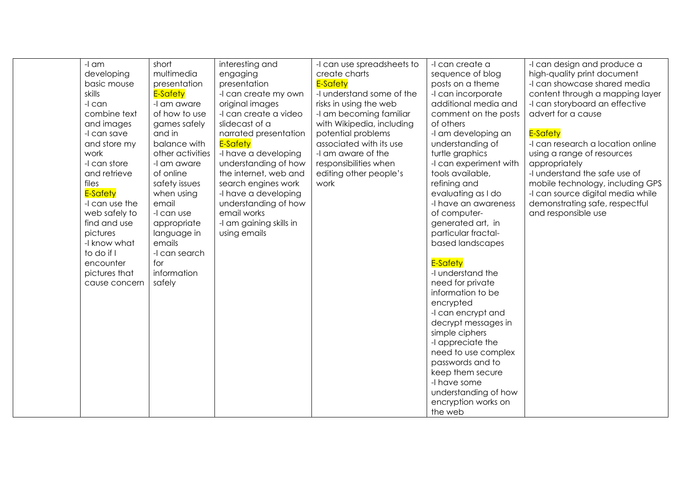| -I am          | short<br>multimedia | interesting and         | -I can use spreadsheets to<br>create charts | -I can create a        | -I can design and produce a       |
|----------------|---------------------|-------------------------|---------------------------------------------|------------------------|-----------------------------------|
| developing     |                     | engaging                | E-Safety                                    | sequence of blog       | high-quality print document       |
| basic mouse    | presentation        | presentation            |                                             | posts on a theme       | -I can showcase shared media      |
| skills         | E-Safety            | -I can create my own    | -I understand some of the                   | -I can incorporate     | content through a mapping layer   |
| -I can         | -I am aware         | original images         | risks in using the web                      | additional media and   | -I can storyboard an effective    |
| combine text   | of how to use       | -I can create a video   | -I am becoming familiar                     | comment on the posts   | advert for a cause                |
| and images     | games safely        | slidecast of a          | with Wikipedia, including                   | of others              |                                   |
| -I can save    | and in              | narrated presentation   | potential problems                          | -I am developing an    | E-Safety                          |
| and store my   | balance with        | <b>E-Safety</b>         | associated with its use                     | understanding of       | -I can research a location online |
| work           | other activities    | -I have a developing    | -I am aware of the                          | turtle graphics        | using a range of resources        |
| -I can store   | -I am aware         | understanding of how    | responsibilities when                       | -I can experiment with | appropriately                     |
| and retrieve   | of online           | the internet, web and   | editing other people's                      | tools available,       | -I understand the safe use of     |
| files          | safety issues       | search engines work     | work                                        | refining and           | mobile technology, including GPS  |
| E-Safety       | when using          | -I have a developing    |                                             | evaluating as I do     | -I can source digital media while |
| -I can use the | email               | understanding of how    |                                             | -I have an awareness   | demonstrating safe, respectful    |
| web safely to  | -I can use          | email works             |                                             | of computer-           | and responsible use               |
| find and use   | appropriate         | -I am gaining skills in |                                             | generated art, in      |                                   |
| pictures       | language in         | using emails            |                                             | particular fractal-    |                                   |
| -I know what   | emails              |                         |                                             | based landscapes       |                                   |
| to do if I     | -I can search       |                         |                                             |                        |                                   |
| encounter      | for                 |                         |                                             | <b>E-Safety</b>        |                                   |
| pictures that  | information         |                         |                                             | -I understand the      |                                   |
| cause concern  | safely              |                         |                                             | need for private       |                                   |
|                |                     |                         |                                             | information to be      |                                   |
|                |                     |                         |                                             | encrypted              |                                   |
|                |                     |                         |                                             | -I can encrypt and     |                                   |
|                |                     |                         |                                             | decrypt messages in    |                                   |
|                |                     |                         |                                             | simple ciphers         |                                   |
|                |                     |                         |                                             | -I appreciate the      |                                   |
|                |                     |                         |                                             | need to use complex    |                                   |
|                |                     |                         |                                             | passwords and to       |                                   |
|                |                     |                         |                                             | keep them secure       |                                   |
|                |                     |                         |                                             | -I have some           |                                   |
|                |                     |                         |                                             | understanding of how   |                                   |
|                |                     |                         |                                             | encryption works on    |                                   |
|                |                     |                         |                                             | the web                |                                   |